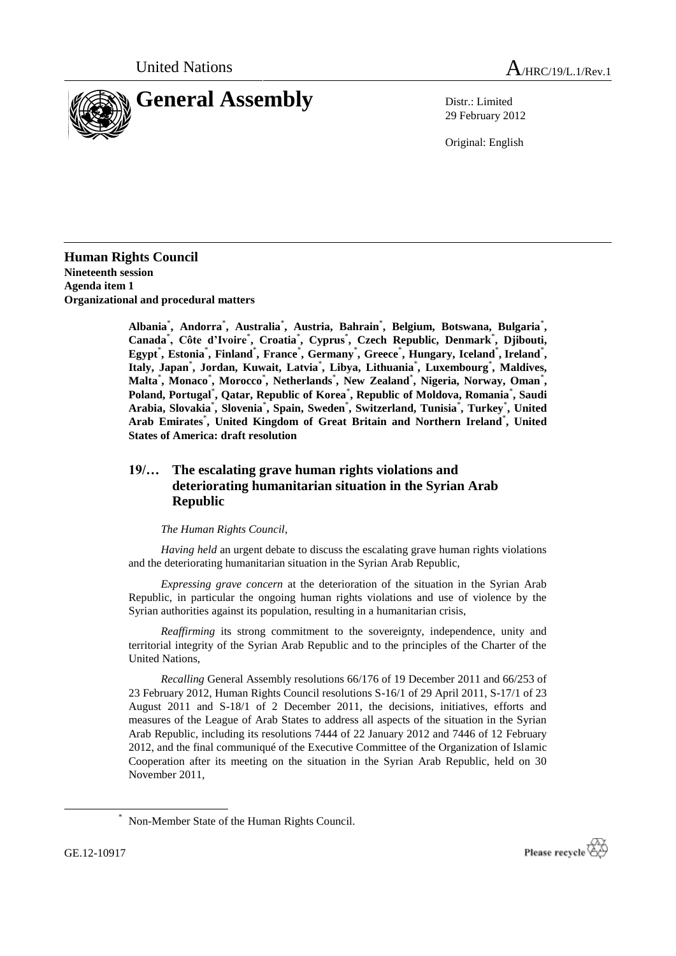



29 February 2012

Original: English

**Human Rights Council Nineteenth session Agenda item 1 Organizational and procedural matters**

> **Albania**\* **, Andorra**\* **, Australia**\* **, Austria, Bahrain**\* **, Belgium, Botswana, Bulgaria**\* **,**  Canada<sup>\*</sup>, Côte d'Ivoire<sup>\*</sup>, Croatia<sup>\*</sup>, Cyprus<sup>\*</sup>, Czech Republic, Denmark<sup>\*</sup>, Djibouti, **Egypt**\* **, Estonia**\* **, Finland**\* **, France**\* **, Germany**\* **, Greece**\* **, Hungary, Iceland**\* **, Ireland**\* **, Italy, Japan**\* **, Jordan, Kuwait, Latvia**\* **, Libya, Lithuania**\* **, Luxembourg**\* **, Maldives, Malta**\* **, Monaco**\* **, Morocco**\* **, Netherlands**\* **, New Zealand**\* **, Nigeria, Norway, Oman**\* **, Poland, Portugal**\* **, Qatar, Republic of Korea**\* **, Republic of Moldova, Romania**\* **, Saudi Arabia, Slovakia**\* **, Slovenia**\* **, Spain, Sweden**\* **, Switzerland, Tunisia**\* **, Turkey**\* **, United Arab Emirates**\* **, United Kingdom of Great Britain and Northern Ireland**\* **, United States of America: draft resolution**

## **19/… The escalating grave human rights violations and deteriorating humanitarian situation in the Syrian Arab Republic**

## *The Human Rights Council*,

*Having held* an urgent debate to discuss the escalating grave human rights violations and the deteriorating humanitarian situation in the Syrian Arab Republic,

*Expressing grave concern* at the deterioration of the situation in the Syrian Arab Republic, in particular the ongoing human rights violations and use of violence by the Syrian authorities against its population, resulting in a humanitarian crisis,

*Reaffirming* its strong commitment to the sovereignty, independence, unity and territorial integrity of the Syrian Arab Republic and to the principles of the Charter of the United Nations,

*Recalling* General Assembly resolutions 66/176 of 19 December 2011 and 66/253 of 23 February 2012, Human Rights Council resolutions S-16/1 of 29 April 2011, S-17/1 of 23 August 2011 and S-18/1 of 2 December 2011, the decisions, initiatives, efforts and measures of the League of Arab States to address all aspects of the situation in the Syrian Arab Republic, including its resolutions 7444 of 22 January 2012 and 7446 of 12 February 2012, and the final communiqué of the Executive Committee of the Organization of Islamic Cooperation after its meeting on the situation in the Syrian Arab Republic, held on 30 November 2011,

1



<sup>\*</sup> Non-Member State of the Human Rights Council.